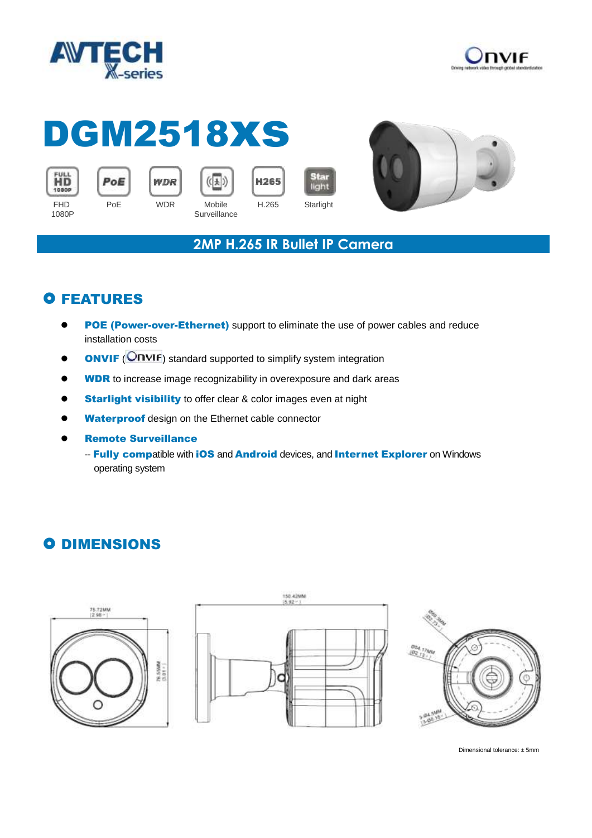



# DGM2518xs













#### **2MP H.265 IR Bullet IP Camera**

## **O FEATURES**

- **POE (Power-over-Ethernet)** support to eliminate the use of power cables and reduce installation costs
- **ONVIF** (ONVIF) standard supported to simplify system integration
- **WDR** to increase image recognizability in overexposure and dark areas
- **Starlight visibility** to offer clear & color images even at night
- Waterproof design on the Ethernet cable connector
- Remote Surveillance
	- -- Fully compatible with iOS and Android devices, and Internet Explorer on Windows operating system

## **O DIMENSIONS**







Dimensional tolerance: ± 5mm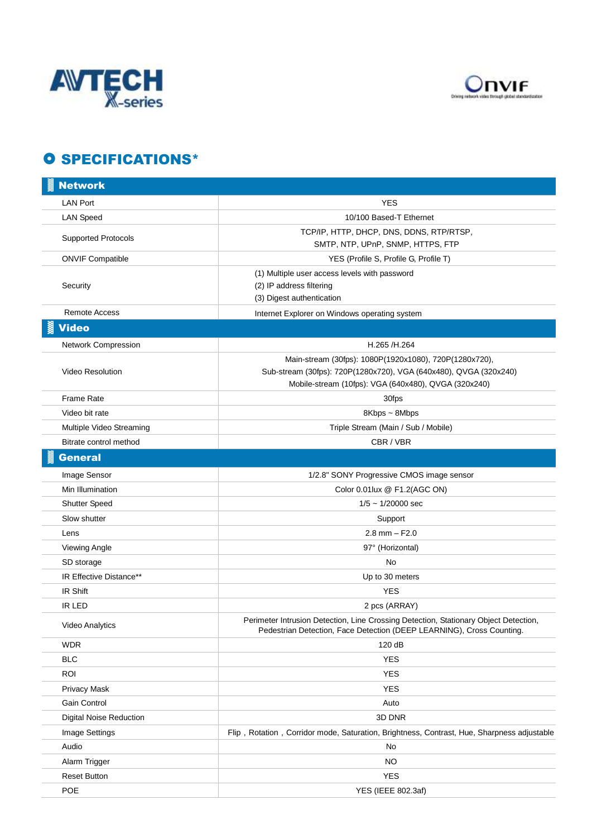



#### **O SPECIFICATIONS\***

| <b>Network</b>                 |                                                                                                                                                               |
|--------------------------------|---------------------------------------------------------------------------------------------------------------------------------------------------------------|
| <b>LAN Port</b>                | <b>YES</b>                                                                                                                                                    |
| <b>LAN Speed</b>               | 10/100 Based-T Ethernet                                                                                                                                       |
| <b>Supported Protocols</b>     | TCP/IP, HTTP, DHCP, DNS, DDNS, RTP/RTSP,                                                                                                                      |
|                                | SMTP, NTP, UPnP, SNMP, HTTPS, FTP                                                                                                                             |
| <b>ONVIF Compatible</b>        | YES (Profile S, Profile G, Profile T)                                                                                                                         |
| Security                       | (1) Multiple user access levels with password                                                                                                                 |
|                                | (2) IP address filtering                                                                                                                                      |
| <b>Remote Access</b>           | (3) Digest authentication                                                                                                                                     |
|                                | Internet Explorer on Windows operating system                                                                                                                 |
| Video                          |                                                                                                                                                               |
| Network Compression            | H.265 /H.264                                                                                                                                                  |
|                                | Main-stream (30fps): 1080P(1920x1080), 720P(1280x720),                                                                                                        |
| <b>Video Resolution</b>        | Sub-stream (30fps): 720P(1280x720), VGA (640x480), QVGA (320x240)<br>Mobile-stream (10fps): VGA (640x480), QVGA (320x240)                                     |
| <b>Frame Rate</b>              | 30fps                                                                                                                                                         |
| Video bit rate                 | 8Kbps ~ 8Mbps                                                                                                                                                 |
| Multiple Video Streaming       | Triple Stream (Main / Sub / Mobile)                                                                                                                           |
| Bitrate control method         | CBR / VBR                                                                                                                                                     |
|                                |                                                                                                                                                               |
| <b>General</b>                 |                                                                                                                                                               |
| Image Sensor                   | 1/2.8" SONY Progressive CMOS image sensor                                                                                                                     |
| Min Illumination               | Color 0.01lux @ F1.2(AGC ON)                                                                                                                                  |
| <b>Shutter Speed</b>           | $1/5 \sim 1/20000$ sec                                                                                                                                        |
| Slow shutter                   | Support                                                                                                                                                       |
| Lens                           | $2.8$ mm $-$ F2.0                                                                                                                                             |
| Viewing Angle                  | 97° (Horizontal)                                                                                                                                              |
| SD storage                     | No                                                                                                                                                            |
| IR Effective Distance**        | Up to 30 meters                                                                                                                                               |
| IR Shift                       | <b>YES</b>                                                                                                                                                    |
| IR LED                         | 2 pcs (ARRAY)                                                                                                                                                 |
| Video Analytics                | Perimeter Intrusion Detection, Line Crossing Detection, Stationary Object Detection,<br>Pedestrian Detection, Face Detection (DEEP LEARNING), Cross Counting. |
| <b>WDR</b>                     | 120 dB                                                                                                                                                        |
| <b>BLC</b>                     | <b>YES</b>                                                                                                                                                    |
| <b>ROI</b>                     | <b>YES</b>                                                                                                                                                    |
| <b>Privacy Mask</b>            | <b>YES</b>                                                                                                                                                    |
| Gain Control                   | Auto                                                                                                                                                          |
| <b>Digital Noise Reduction</b> | 3D DNR                                                                                                                                                        |
| Image Settings                 | Flip, Rotation, Corridor mode, Saturation, Brightness, Contrast, Hue, Sharpness adjustable                                                                    |
| Audio                          | No                                                                                                                                                            |
| Alarm Trigger                  | <b>NO</b>                                                                                                                                                     |
| <b>Reset Button</b>            | <b>YES</b>                                                                                                                                                    |
| POE                            | YES (IEEE 802.3af)                                                                                                                                            |